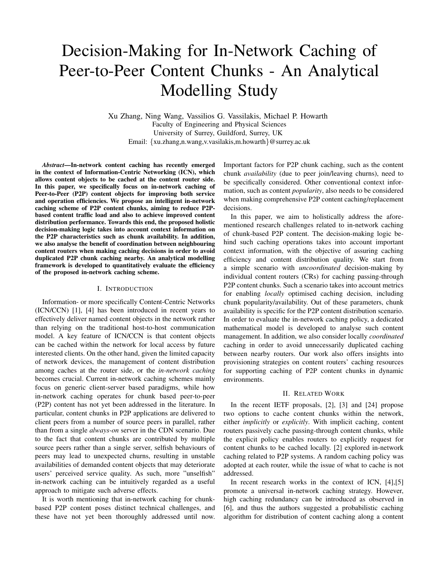# Decision-Making for In-Network Caching of Peer-to-Peer Content Chunks - An Analytical Modelling Study

Xu Zhang, Ning Wang, Vassilios G. Vassilakis, Michael P. Howarth Faculty of Engineering and Physical Sciences University of Surrey, Guildford, Surrey, UK Email: *{*xu.zhang,n.wang,v.vasilakis,m.howarth*}*@surrey.ac.uk

*Abstract*—In-network content caching has recently emerged in the context of Information-Centric Networking (ICN), which allows content objects to be cached at the content router side. In this paper, we specifically focus on in-network caching of Peer-to-Peer (P2P) content objects for improving both service and operation efficiencies. We propose an intelligent in-network caching scheme of P2P content chunks, aiming to reduce P2Pbased content traffic load and also to achieve improved content distribution performance. Towards this end, the proposed holistic decision-making logic takes into account context information on the P2P characteristics such as chunk availability. In addition, we also analyse the benefit of coordination between neighbouring content routers when making caching decisions in order to avoid duplicated P2P chunk caching nearby. An analytical modelling framework is developed to quantitatively evaluate the efficiency of the proposed in-network caching scheme.

#### I. INTRODUCTION

Information- or more specifically Content-Centric Networks (ICN/CCN) [1], [4] has been introduced in recent years to effectively deliver named content objects in the network rather than relying on the traditional host-to-host communication model. A key feature of ICN/CCN is that content objects can be cached within the network for local access by future interested clients. On the other hand, given the limited capacity of network devices, the management of content distribution among caches at the router side, or the *in-network caching* becomes crucial. Current in-network caching schemes mainly focus on generic client-server based paradigms, while how in-network caching operates for chunk based peer-to-peer (P2P) content has not yet been addressed in the literature. In particular, content chunks in P2P applications are delivered to client peers from a number of source peers in parallel, rather than from a single *always-on* server in the CDN scenario. Due to the fact that content chunks are contributed by multiple source peers rather than a single server, selfish behaviours of peers may lead to unexpected churns, resulting in unstable availabilities of demanded content objects that may deteriorate users' perceived service quality. As such, more "unselfish" in-network caching can be intuitively regarded as a useful approach to mitigate such adverse effects.

It is worth mentioning that in-network caching for chunkbased P2P content poses distinct technical challenges, and these have not yet been thoroughly addressed until now. Important factors for P2P chunk caching, such as the content chunk *availability* (due to peer join/leaving churns), need to be specifically considered. Other conventional context information, such as content *popularity*, also needs to be considered when making comprehensive P2P content caching/replacement decisions.

In this paper, we aim to holistically address the aforementioned research challenges related to in-network caching of chunk-based P2P content. The decision-making logic behind such caching operations takes into account important context information, with the objective of assuring caching efficiency and content distribution quality. We start from a simple scenario with *uncoordinated* decision-making by individual content routers (CRs) for caching passing-through P2P content chunks. Such a scenario takes into account metrics for enabling *locally* optimised caching decision, including chunk popularity/availability. Out of these parameters, chunk availability is specific for the P2P content distribution scenario. In order to evaluate the in-network caching policy, a dedicated mathematical model is developed to analyse such content management. In addition, we also consider locally *coordinated* caching in order to avoid unnecessarily duplicated caching between nearby routers. Our work also offers insights into provisioning strategies on content routers' caching resources for supporting caching of P2P content chunks in dynamic environments.

#### II. RELATED WORK

In the recent IETF proposals, [2], [3] and [24] propose two options to cache content chunks within the network, either *implicitly* or *explicitly*. With implicit caching, content routers passively cache passing-through content chunks, while the explicit policy enables routers to explicitly request for content chunks to be cached locally. [2] explored in-network caching related to P2P systems. A random caching policy was adopted at each router, while the issue of what to cache is not addressed.

In recent research works in the context of ICN, [4],[5] promote a universal in-network caching strategy. However, high caching redundancy can be introduced as observed in [6], and thus the authors suggested a probabilistic caching algorithm for distribution of content caching along a content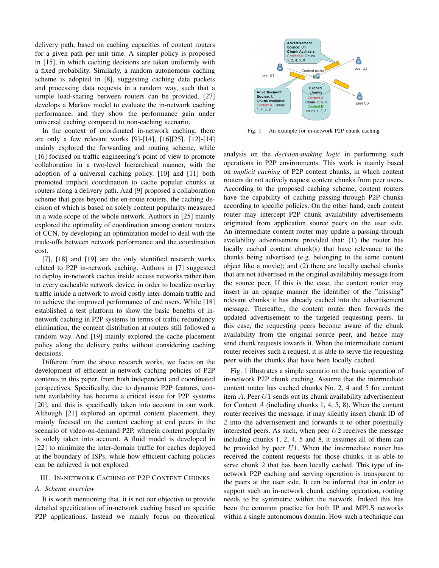delivery path, based on caching capacities of content routers for a given path per unit time. A simpler policy is proposed in [15], in which caching decisions are taken uniformly with a fixed probability. Similarly, a random autonomous caching scheme is adopted in [8], suggesting caching data packets and processing data requests in a random way, such that a simple load-sharing between routers can be provided. [27] develops a Markov model to evaluate the in-network caching performance, and they show the performance gain under universal caching compared to non-caching scenario.

In the context of coordinated in-network caching, there are only a few relevant works [9]-[14], [16][25]. [12]-[14] mainly explored the forwarding and routing scheme, while [16] focused on traffic engineering's point of view to promote collaboration in a two-level hierarchical manner, with the adoption of a universal caching policy. [10] and [11] both promoted implicit coordination to cache popular chunks at routers along a delivery path. And [9] proposed a collaboration scheme that goes beyond the en-route routers, the caching decision of which is based on solely content popularity measured in a wide scope of the whole network. Authors in [25] mainly explored the optimality of coordination among content routers of CCN, by developing an optimization model to deal with the trade-offs between network performance and the coordination cost.

[7], [18] and [19] are the only identified research works related to P2P in-network caching. Authors in [7] suggested to deploy in-network caches inside access networks rather than in every cacheable network device, in order to localize overlay traffic inside a network to avoid costly inter-domain traffic and to achieve the improved performance of end users. While [18] established a test platform to show the basic benefits of innetwork caching in P2P systems in terms of traffic redundancy elimination, the content distribution at routers still followed a random way. And [19] mainly explored the cache placement policy along the delivery paths without considering caching decisions.

Different from the above research works, we focus on the development of efficient in-network caching policies of P2P contents in this paper, from both independent and coordinated perspectives. Specifically, due to dynamic P2P features, content availability has become a critical issue for P2P systems [20], and this is specifically taken into account in our work. Although [21] explored an optimal content placement, they mainly focused on the content caching at end peers in the scenario of video-on-demand P2P, wherein content popularity is solely taken into account. A fluid model is developed in [22] to minimize the inter-domain traffic for caches deployed at the boundary of ISPs, while how efficient caching policies can be achieved is not explored.

# III. IN-NETWORK CACHING OF P2P CONTENT CHUNKS

### *A. Scheme overview*

It is worth mentioning that, it is not our objective to provide detailed specification of in-network caching based on specific P2P applications. Instead we mainly focus on theoretical



Fig. 1. An example for in-network P2P chunk caching

analysis on the *decision-making logic* in performing such operations in P2P environments. This work is mainly based on *implicit caching* of P2P content chunks, in which content routers do not actively request content chunks from peer users. According to the proposed caching scheme, content routers have the capability of caching passing-through P2P chunks according to specific policies. On the other hand, each content router may intercept P2P chunk availability advertisements originated from application source peers on the user side. An intermediate content router may update a passing-through availability advertisement provided that: (1) the router has locally cached content chunk(s) that have relevance to the chunks being advertised (e.g. belonging to the same content object like a movie); and (2) there are locally cached chunks that are not advertised in the original availability message from the source peer. If this is the case, the content router may insert in an opaque manner the identifier of the "missing" relevant chunks it has already cached into the advertisement message. Thereafter, the content router then forwards the updated advertisement to the targeted requesting peers. In this case, the requesting peers become aware of the chunk availability from the original source peer, and hence may send chunk requests towards it. When the intermediate content router receives such a request, it is able to serve the requesting peer with the chunks that have been locally cached.

Fig. 1 illustrates a simple scenario on the basic operation of in-network P2P chunk caching. Assume that the intermediate content router has cached chunks No. 2, 4 and 5 for content item *A*. Peer *U*1 sends out its chunk availability advertisement for Content *A* (including chunks 1, 4, 5, 8). When the content router receives the message, it may silently insert chunk ID of 2 into the advertisement and forwards it to other potentially interested peers. As such, when peer *U*2 receives the message including chunks 1, 2, 4, 5 and 8, it assumes all of them can be provided by peer *U*1. When the intermediate router has received the content requests for those chunks, it is able to serve chunk 2 that has been locally cached. This type of innetwork P2P caching and serving operation is transparent to the peers at the user side. It can be inferred that in order to support such an in-network chunk caching operation, routing needs to be symmetric within the network. Indeed this has been the common practice for both IP and MPLS networks within a single autonomous domain. How such a technique can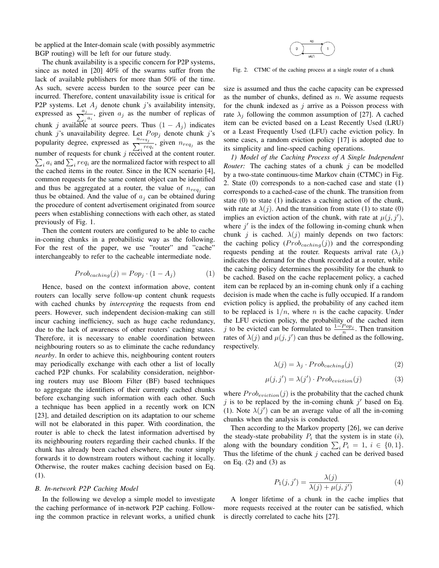be applied at the Inter-domain scale (with possibly asymmetric BGP routing) will be left for our future study.

The chunk availability is a specific concern for P2P systems, since as noted in [20] 40% of the swarms suffer from the lack of available publishers for more than 50% of the time. As such, severe access burden to the source peer can be incurred. Therefore, content unavailability issue is critical for P2P systems. Let  $A_j$  denote chunk  $j$ 's availability intensity, expressed as  $\frac{a_j}{\sum_i a_i}$ , given  $a_j$  as the number of replicas of chunk *j* available at source peers. Thus  $(1 - A_j)$  indicates chunk *j*'s unavailability degree. Let *P op<sup>j</sup>* denote chunk *j*'s popularity degree, expressed as  $\sum_{r=1}^{n_{req_j}}$  given  $n_{req_j}$  as the number of requests for chunk  $j$  received at the content router.  $\sum_i a_i$  and  $\sum_i req_i$  are the normalized factor with respect to all the cached items in the router. Since in the ICN scenario [4], common requests for the same content object can be identified and thus be aggregated at a router, the value of  $n_{req_j}$  can thus be obtained. And the value of  $a_j$  can be obtained during the procedure of content advertisement originated from source peers when establishing connections with each other, as stated previously of Fig. 1.

Then the content routers are configured to be able to cache in-coming chunks in a probabilistic way as the following. For the rest of the paper, we use "router" and "cache" interchangeably to refer to the cacheable intermediate node.

$$
Prob_{caching}(j) = Pop_j \cdot (1 - A_j)
$$
 (1)

Hence, based on the context information above, content routers can locally serve follow-up content chunk requests with cached chunks by *intercepting* the requests from end peers. However, such independent decision-making can still incur caching inefficiency, such as huge cache redundancy, due to the lack of awareness of other routers' caching states. Therefore, it is necessary to enable coordination between neighbouring routers so as to eliminate the cache redundancy *nearby*. In order to achieve this, neighbouring content routers may periodically exchange with each other a list of locally cached P2P chunks. For scalability consideration, neighboring routers may use Bloom Filter (BF) based techniques to aggregate the identifiers of their currently cached chunks before exchanging such information with each other. Such a technique has been applied in a recently work on ICN [23], and detailed description on its adaptation to our scheme will not be elaborated in this paper. With coordination, the router is able to check the latest information advertised by its neighbouring routers regarding their cached chunks. If the chunk has already been cached elsewhere, the router simply forwards it to downstream routers without caching it locally. Otherwise, the router makes caching decision based on Eq. (1).

#### *B. In-network P2P Caching Model*

In the following we develop a simple model to investigate the caching performance of in-network P2P caching. Following the common practice in relevant works, a unified chunk



Fig. 2. CTMC of the caching process at a single router of a chunk

size is assumed and thus the cache capacity can be expressed as the number of chunks, defined as *n*. We assume requests for the chunk indexed as *j* arrive as a Poisson process with rate  $\lambda_i$  following the common assumption of [27]. A cached item can be evicted based on a Least Recently Used (LRU) or a Least Frequently Used (LFU) cache eviction policy. In some cases, a random eviction policy [17] is adopted due to its simplicity and line-speed caching operations.

*1) Model of the Caching Process of A Single Independent Router:* The caching states of a chunk *j* can be modelled by a two-state continuous-time Markov chain (CTMC) in Fig. 2. State (0) corresponds to a non-cached case and state (1) corresponds to a cached-case of the chunk. The transition from state (0) to state (1) indicates a caching action of the chunk, with rate at  $\lambda(j)$ . And the transition from state (1) to state (0) implies an eviction action of the chunk, with rate at  $\mu(j, j')$ , where  $j'$  is the index of the following in-coming chunk when chunk *j* is cached.  $\lambda(j)$  mainly depends on two factors: the caching policy  $(Prob_{caching}(j))$  and the corresponding requests pending at the router. Requests arrival rate  $(\lambda_i)$ indicates the demand for the chunk recorded at a router, while the caching policy determines the possibility for the chunk to be cached. Based on the cache replacement policy, a cached item can be replaced by an in-coming chunk only if a caching decision is made when the cache is fully occupied. If a random eviction policy is applied, the probability of any cached item to be replaced is  $1/n$ , where *n* is the cache capacity. Under the LFU eviction policy, the probability of the cached item *j* to be evicted can be formulated to  $\frac{1-P_{op_j}}{n}$ . Then transition rates of  $\lambda(j)$  and  $\mu(j, j')$  can thus be defined as the following, respectively.

$$
\lambda(j) = \lambda_j \cdot Prob_{caching}(j) \tag{2}
$$

$$
\mu(j, j') = \lambda(j') \cdot Prob_{eviction}(j) \tag{3}
$$

where  $Prob_{eviction}(j)$  is the probability that the cached chunk *j* is to be replaced by the in-coming chunk *j ′* based on Eq. (1). Note  $\lambda(j')$  can be an average value of all the in-coming chunks when the analysis is conducted.

Then according to the Markov property [26], we can derive the steady-state probability  $P_i$  that the system is in state  $(i)$ , along with the boundary condition  $\sum_{i} P_i = 1, i \in \{0, 1\}.$ Thus the lifetime of the chunk *j* cached can be derived based on Eq.  $(2)$  and  $(3)$  as

$$
P_1(j, j') = \frac{\lambda(j)}{\lambda(j) + \mu(j, j')} \tag{4}
$$

A longer lifetime of a chunk in the cache implies that more requests received at the router can be satisfied, which is directly correlated to cache hits [27].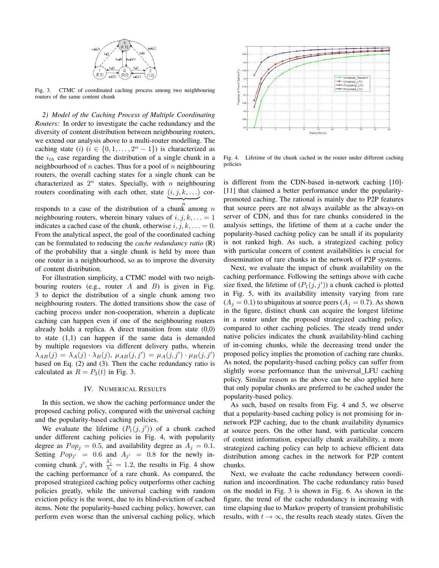

Fig. 3. CTMC of coordinated caching process among two neighbouring routers of the same content chunk

*2) Model of the Caching Process of Multiple Coordinating Routers:* In order to investigate the cache redundancy and the diversity of content distribution between neighbouring routers, we extend our analysis above to a multi-router modelling. The caching state (*i*) ( $i \in \{0, 1, \ldots, 2^n - 1\}$ ) is characterized as the *ith* case regarding the distribution of a single chunk in a neighbourhood of *n* caches. Thus for a pool of *n* neighbouring routers, the overall caching states for a single chunk can be characterized as  $2^n$  states. Specially, with *n* neighbouring routers coordinating with each other, state  $(i, j, k, ...)$  cor- $\overbrace{\phantom{aaaaa}}^n$ 

*n* responds to a case of the distribution of a chunk among *n* neighbouring routers, wherein binary values of  $i, j, k, \ldots = 1$ indicates a cached case of the chunk, otherwise  $i, j, k, ... = 0$ . From the analytical aspect, the goal of the coordinated caching can be formulated to reducing the *cache redundancy ratio* (R) of the probability that a single chunk is held by more than one router in a neighbourhood, so as to improve the diversity of content distribution.

For illustration simplicity, a CTMC model with two neighbouring routers (e.g., router *A* and *B*) is given in Fig. 3 to depict the distribution of a single chunk among two neighbouring routers. The dotted transitions show the case of caching process under non-cooperation, wherein a duplicate caching can happen even if one of the neighbouring routers already holds a replica. A direct transition from state (0,0) to state (1,1) can happen if the same data is demanded by multiple requestors via different delivery paths, wherein  $\lambda_{AB}(j) = \lambda_A(j) \cdot \lambda_B(j), \mu_{AB}(j, j') = \mu_A(j, j') \cdot \mu_B(j, j')$ based on Eq. (2) and (3). Then the cache redundancy ratio is calculated as  $R = P_3(t)$  in Fig. 3.

#### IV. NUMERICAL RESULTS

In this section, we show the caching performance under the proposed caching policy, compared with the universal caching and the popularity-based caching policies.

We evaluate the lifetime  $(P_1(j, j'))$  of a chunk cached under different caching policies in Fig. 4, with popularity degree as  $Pop_j = 0.5$ , and availability degree as  $A_j = 0.1$ . Setting  $Pop_{j'} = 0.6$  and  $A_{j'} = 0.8$  for the newly incoming chunk *j'*, with  $\frac{\lambda'_j}{\lambda_j} = 1.2$ , the results in Fig. 4 show the caching performance of a rare chunk. As compared, the proposed strategized caching policy outperforms other caching policies greatly, while the universal caching with random eviction policy is the worst, due to its blind-eviction of cached items. Note the popularity-based caching policy, however, can perform even worse than the universal caching policy, which



Fig. 4. Lifetime of the chunk cached in the router under different caching policies

is different from the CDN-based in-network caching [10]- [11] that claimed a better performance under the popularitypromoted caching. The rational is mainly due to P2P features that source peers are not always available as the always-on server of CDN, and thus for rare chunks considered in the analysis settings, the lifetime of them at a cache under the popularity-based caching policy can be small if its popularity is not ranked high. As such, a strategized caching policy with particular concern of content availabilities is crucial for dissemination of rare chunks in the network of P2P systems.

Next, we evaluate the impact of chunk availability on the caching performance. Following the settings above with cache size fixed, the lifetime of  $(P_1(j, j'))$  a chunk cached is plotted in Fig. 5, with its availability intensity varying from rare  $(A_i = 0.1)$  to ubiquitous at source peers  $(A_i = 0.7)$ . As shown in the figure, distinct chunk can acquire the longest lifetime in a router under the proposed strategized caching policy, compared to other caching policies. The steady trend under native policies indicates the chunk availability-blind caching of in-coming chunks, while the decreasing trend under the proposed policy implies the promotion of caching rare chunks. As noted, the popularity-based caching policy can suffer from slightly worse performance than the universal LFU caching policy. Similar reason as the above can be also applied here that only popular chunks are preferred to be cached under the popularity-based policy.

As such, based on results from Fig. 4 and 5, we observe that a popularity-based caching policy is not promising for innetwork P2P caching, due to the chunk availability dynamics at source peers. On the other hand, with particular concern of context information, especially chunk availability, a more strategized caching policy can help to achieve efficient data distribution among caches in the network for P2P content chunks.

Next, we evaluate the cache redundancy between coordination and incoordination. The cache redundancy ratio based on the model in Fig. 3 is shown in Fig. 6. As shown in the figure, the trend of the cache redundancy is increasing with time elapsing due to Markov property of transient probabilistic results, with  $t \to \infty$ , the results reach steady states. Given the